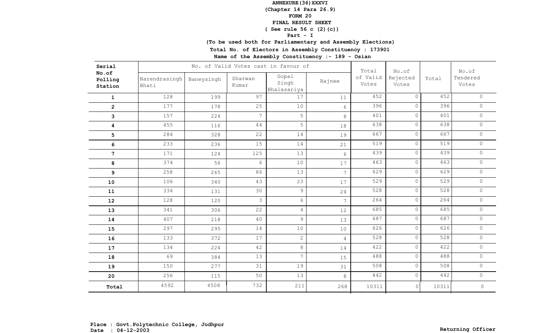**(Chapter 14 Para 26.9)**

**FORM 20**

 **FINAL RESULT SHEET**

 **( See rule 56 c (2)(c))**

**Part - I**

**(To be used both for Parliamentary and Assembly Elections)**

**Total No. of Electors in Assembly Constituency : 173901**

| Serial                      |                        |            | No. of Valid Votes cast in favour of |                               | Total          | No.of             |                   | No.of |                   |
|-----------------------------|------------------------|------------|--------------------------------------|-------------------------------|----------------|-------------------|-------------------|-------|-------------------|
| No.of<br>Polling<br>Station | Narendrasingh<br>Bhati | Baneysingh | Sharwan<br>Kumar                     | Gopal<br>Singh<br>Bhalasariya | Rajnee         | of Valid<br>Votes | Rejected<br>Votes | Total | Tendered<br>Votes |
| $\mathbf{1}$                | 128                    | 199        | 97                                   | 17                            | 11             | 452               | $\circ$           | 452   | $\circ$           |
| $\mathbf{2}$                | 177                    | 178        | 25                                   | 10                            | 6              | 396               | $\circ$           | 396   | $\circ$           |
| 3                           | 157                    | 224        | $\overline{7}$                       | 5                             | 8              | 401               | $\circ$           | 401   | $\circ$           |
| $\overline{\mathbf{4}}$     | 455                    | 116        | $4\,4$                               | 5                             | 18             | 638               | $\circ$           | 638   | $\circ$           |
| 5                           | 284                    | 328        | 22                                   | 14                            | 19             | 667               | $\circ$           | 667   | $\circ$           |
| 6                           | 233                    | 236        | 15                                   | 14                            | 21             | 519               | $\circ$           | 519   | $\circ$           |
| $7\phantom{.}$              | 171                    | 124        | 125                                  | 13                            | 6              | 439               | $\circ$           | 439   | $\circ$           |
| 8                           | 374                    | 56         | 6                                    | 10                            | 17             | 463               | $\circ$           | 463   | $\circ$           |
| 9                           | 258                    | 265        | 86                                   | 13                            | 7 <sup>7</sup> | 629               | $\circ$           | 629   | $\circ$           |
| 10                          | 106                    | 340        | 43                                   | 23                            | 17             | 529               | $\circ$           | 529   | $\circ$           |
| 11                          | 334                    | 131        | 30                                   | $\overline{9}$                | 24             | 528               | $\circ$           | 528   | $\circ$           |
| 12                          | 128                    | 120        | 3                                    | 6                             | $\overline{7}$ | 264               | $\circ$           | 264   | $\circ$           |
| 13                          | 341                    | 306        | 22                                   | $\overline{4}$                | 12             | 685               | $\circ$           | 685   | $\circ$           |
| 14                          | 407                    | 218        | 40                                   | 9                             | 13             | 687               | $\circ$           | 687   | $\circ$           |
| 15                          | 297                    | 295        | 14                                   | $10$                          | 10             | 626               | $\circ$           | 626   | $\circ$           |
| 16                          | 133                    | 372        | 17                                   | $\overline{c}$                | 4              | 528               | $\circ$           | 528   | $\overline{0}$    |
| 17                          | 134                    | 224        | 42                                   | 8                             | 14             | 422               | $\circ$           | 422   | $\circ$           |
| 18                          | 69                     | 384        | 13                                   | $\overline{7}$                | 15             | 488               | $\overline{0}$    | 488   | $\circ$           |
| 19                          | 150                    | 277        | 31                                   | 19                            | 31             | 508               | $\circ$           | 508   | $\circ$           |
| 20                          | 256                    | 115        | 50                                   | 13                            | 8              | 442               | $\circ$           | 442   | $\circ$           |
| Total                       | 4592                   | 4508       | 732                                  | 211                           | 268            | 10311             | $\circ$           | 10311 | $\mathbb O$       |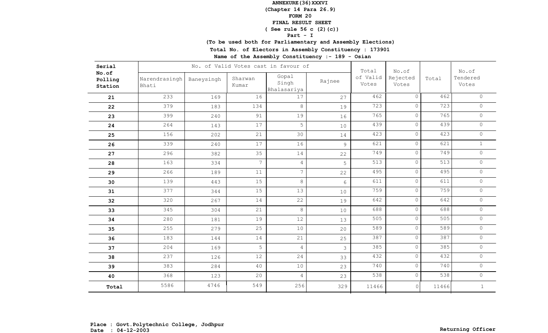**(Chapter 14 Para 26.9)**

**FORM 20**

 **FINAL RESULT SHEET**

 **( See rule 56 c (2)(c))**

**Part - I**

**(To be used both for Parliamentary and Assembly Elections)**

**Total No. of Electors in Assembly Constituency : 173901**

| Serial                      |                        |            | No. of Valid Votes cast in favour of |                               | Total          | No.of             |                   | No.of |                     |
|-----------------------------|------------------------|------------|--------------------------------------|-------------------------------|----------------|-------------------|-------------------|-------|---------------------|
| No.of<br>Polling<br>Station | Narendrasingh<br>Bhati | Baneysingh | Sharwan<br>Kumar                     | Gopal<br>Singh<br>Bhalasariya | Rajnee         | of Valid<br>Votes | Rejected<br>Votes | Total | Tendered<br>Votes   |
| 21                          | 233                    | 169        | 16                                   | 17                            | 27             | 462               | $\circ$           | 462   | $\circ$             |
| 22                          | 379                    | 183        | 134                                  | $\,8\,$                       | 19             | 723               | $\circ$           | 723   | $\circ$             |
| 23                          | 399                    | 240        | 91                                   | 19                            | 16             | 765               | $\circ$           | 765   | $\circ$             |
| 24                          | 264                    | 143        | 17                                   | 5                             | 10             | 439               | $\circ$           | 439   | $\circ$             |
| 25                          | 156                    | 202        | 21                                   | 30                            | 14             | 423               | $\circ$           | 423   | $\circ$             |
| 26                          | 339                    | 240        | 17                                   | 16                            | 9              | 621               | $\circ$           | 621   | $\mathbf{1}$        |
| 27                          | 296                    | 382        | 35                                   | 14                            | 22             | 749               | $\circ$           | 749   | $\circ$             |
| 28                          | 163                    | 334        | $7\phantom{.0}$                      | 4                             | 5              | 513               | $\circ$           | 513   | $\circ$             |
| 29                          | 266                    | 189        | 11                                   | $\overline{7}$                | 22             | 495               | $\circ$           | 495   | $\circ$             |
| 30                          | 139                    | 443        | 15                                   | 8                             | 6              | 611               | $\circ$           | 611   | $\circ$             |
| 31                          | 377                    | 344        | 15                                   | 13                            | 10             | 759               | $\circ$           | 759   | $\mathsf{O}\xspace$ |
| 32                          | 320                    | 267        | 14                                   | 22                            | 19             | 642               | $\circ$           | 642   | $\circ$             |
| 33                          | 345                    | 304        | 21                                   | 8                             | 10             | 688               | $\circ$           | 688   | $\circ$             |
| 34                          | 280                    | 181        | 19                                   | 12                            | 13             | 505               | $\circ$           | 505   | $\circ$             |
| 35                          | 255                    | 279        | 25                                   | 10                            | 20             | 589               | $\circ$           | 589   | $\circ$             |
| 36                          | 183                    | 144        | 14                                   | 21                            | 25             | 387               | $\circ$           | 387   | $\circ$             |
| 37                          | 204                    | 169        | 5                                    | $\overline{4}$                | $\mathfrak{Z}$ | 385               | $\overline{0}$    | 385   | $\circ$             |
| 38                          | 237                    | 126        | 12                                   | 24                            | 33             | 432               | $\overline{0}$    | 432   | $\circ$             |
| 39                          | 383                    | 284        | 40                                   | 10                            | 23             | 740               | $\circ$           | 740   | $\circ$             |
| 40                          | 368                    | 123        | 20                                   | $\overline{4}$                | 23             | 538               | $\circ$           | 538   | $\circ$             |
| Total                       | 5586                   | 4746       | 549                                  | 256                           | 329            | 11466             | $\circ$           | 11466 | $\mathbf{1}$        |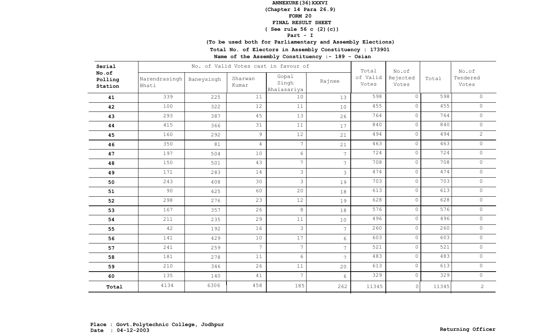**(Chapter 14 Para 26.9)**

**FORM 20**

 **FINAL RESULT SHEET**

 **( See rule 56 c (2)(c))**

**Part - I**

**(To be used both for Parliamentary and Assembly Elections)**

**Total No. of Electors in Assembly Constituency : 173901**

| Serial                      |                        |            | No. of Valid Votes cast in favour of |                               | Total          | No.of             |                   | No.of            |                     |
|-----------------------------|------------------------|------------|--------------------------------------|-------------------------------|----------------|-------------------|-------------------|------------------|---------------------|
| No.of<br>Polling<br>Station | Narendrasingh<br>Bhati | Baneysingh | Sharwan<br>Kumar                     | Gopal<br>Singh<br>Bhalasariya | Rajnee         | of Valid<br>Votes | Rejected<br>Votes | Total            | Tendered<br>Votes   |
| 41                          | 339                    | 225        | 11                                   | 10                            | 13             | 598               | $\overline{0}$    | 598              | $\circ$             |
| 42                          | 100                    | 322        | 12                                   | 11                            | $10$           | 455               | $\overline{0}$    | 455              | $\circ$             |
| 43                          | 293                    | 387        | 45                                   | 13                            | 26             | 764               | $\circ$           | 764              | $\circ$             |
| 44                          | 415                    | 366        | 31                                   | 11                            | 17             | 840               | $\circ$           | 840              | $\circ$             |
| 45                          | 160                    | 292        | 9                                    | 12                            | 21             | 494               | $\circ$           | 494              | $\overline{2}$      |
| 46                          | 350                    | 81         | $\overline{4}$                       | $\overline{7}$                | 21             | 463               | $\circ$           | 463              | $\circ$             |
| 47                          | 197                    | 504        | 10                                   | $6\,$                         | $\overline{7}$ | 724               | $\circ$           | 724              | $\circ$             |
| 48                          | 150                    | 501        | 43                                   | $\overline{7}$                | $\overline{7}$ | 708               | $\circ$           | 708              | $\circledcirc$      |
| 49                          | 171                    | 283        | 14                                   | $\mathfrak{Z}$                | $\mathfrak{Z}$ | 474               | $\circ$           | 474              | $\circ$             |
| 50                          | 243                    | 408        | 30                                   | $\mathfrak{Z}$                | 19             | 703               | $\circ$           | $\overline{703}$ | $\circ$             |
| 51                          | 90                     | 425        | 60                                   | 20                            | 18             | 613               | $\circ$           | 613              | $\circ$             |
| 52                          | 298                    | 276        | 23                                   | 12                            | 19             | 628               | $\circ$           | 628              | $\circ$             |
| 53                          | 167                    | 357        | 26                                   | 8                             | 18             | 576               | $\circ$           | 576              | $\circ$             |
| 54                          | 211                    | 235        | 29                                   | 11                            | 10             | 496               | $\circ$           | 496              | $\mathsf{O}$        |
| 55                          | 42                     | 192        | 16                                   | $\mathfrak{Z}$                | $\overline{7}$ | 260               | $\circ$           | 260              | $\circ$             |
| 56                          | 141                    | 429        | 10                                   | 17                            | $6\phantom{.}$ | 603               | $\circ$           | 603              | $\mathsf{O}\xspace$ |
| 57                          | 241                    | 259        | $\overline{7}$                       | $7\overline{ }$               | 7 <sup>7</sup> | 521               | $\circ$           | 521              | $\circ$             |
| 58                          | 181                    | 278        | 11                                   | $6\phantom{.}6$               | 7 <sup>7</sup> | 483               | $\circ$           | 483              | $\circ$             |
| 59                          | 210                    | 346        | 26                                   | 11                            | 20             | 613               | $\circ$           | 613              | $\circ$             |
| 60                          | 135                    | 140        | 41                                   | $\overline{7}$                | 6              | 329               | $\circ$           | 329              | $\circ$             |
| Total                       | 4134                   | 6306       | 458                                  | 185                           | 262            | 11345             | $\circ$           | 11345            | $\overline{2}$      |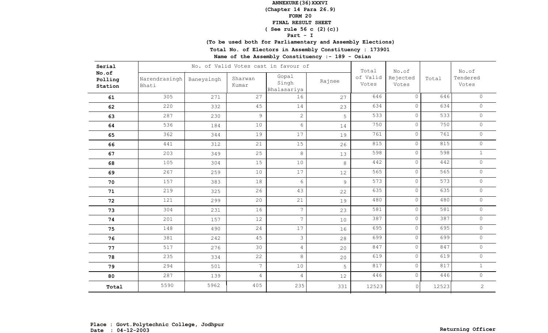**(Chapter 14 Para 26.9)**

**FORM 20**

 **FINAL RESULT SHEET**

# **( See rule 56 c (2)(c))**

**Part - I**

**(To be used both for Parliamentary and Assembly Elections)**

**Total No. of Electors in Assembly Constituency : 173901**

| Serial                      |                        |            | No. of Valid Votes cast in favour of | Total                         | No.of  |                   | No.of             |       |                   |
|-----------------------------|------------------------|------------|--------------------------------------|-------------------------------|--------|-------------------|-------------------|-------|-------------------|
| No.of<br>Polling<br>Station | Narendrasingh<br>Bhati | Baneysingh | Sharwan<br>Kumar                     | Gopal<br>Singh<br>Bhalasariya | Rajnee | of Valid<br>Votes | Rejected<br>Votes | Total | Tendered<br>Votes |
| 61                          | 305                    | 271        | 27                                   | 16                            | 27     | 646               | $\circ$           | 646   | $\circ$           |
| 62                          | 220                    | 332        | 45                                   | 14                            | 23     | 634               | $\circ$           | 634   | $\circ$           |
| 63                          | 287                    | 230        | $\mathcal{G}$                        | $\overline{2}$                | 5      | 533               | $\circ$           | 533   | $\circ$           |
| 64                          | 536                    | 184        | 10                                   | $6\overline{6}$               | 14     | 750               | $\circ$           | 750   | $\circ$           |
| 65                          | 362                    | 344        | 19                                   | 17                            | 19     | 761               | $\circ$           | 761   | $\circ$           |
| 66                          | 441                    | 312        | 21                                   | 15                            | 26     | 815               | $\circ$           | 815   | $\circ$           |
| 67                          | 203                    | 349        | 25                                   | 8                             | 13     | 598               | $\circ$           | 598   | $\mathbf{1}$      |
| 68                          | 105                    | 304        | 15                                   | 10                            | 8      | 442               | $\circ$           | 442   | $\circ$           |
| 69                          | 267                    | 259        | 10                                   | 17                            | 12     | 565               | $\circ$           | 565   | $\circ$           |
| 70                          | 157                    | 383        | 18                                   | 6                             | 9      | 573               | $\circ$           | 573   | $\circ$           |
| 71                          | 219                    | 325        | 26                                   | 43                            | 22     | 635               | $\circ$           | 635   | $\circ$           |
| 72                          | 121                    | 299        | 20                                   | 21                            | 19     | 480               | $\circ$           | 480   | $\circ$           |
| 73                          | 304                    | 231        | 16                                   | $7\overline{ }$               | 23     | 581               | $\circ$           | 581   | $\circ$           |
| 74                          | 201                    | 157        | 12                                   | $\overline{7}$                | $10$   | 387               | $\circ$           | 387   | $\circ$           |
| 75                          | 148                    | 490        | 24                                   | 17                            | 16     | 695               | $\circ$           | 695   | $\circ$           |
| 76                          | 381                    | 242        | 45                                   | 3                             | 28     | 699               | $\circ$           | 699   | $\circ$           |
| 77                          | 517                    | 276        | 30                                   | $\overline{4}$                | 20     | 847               | $\circ$           | 847   | $\circ$           |
| 78                          | 235                    | 334        | 22                                   | 8                             | 20     | 619               | $\circ$           | 619   | $\circ$           |
| 79                          | 294                    | 501        | $\overline{7}$                       | 10                            | 5      | 817               | $\circ$           | 817   | $1\,$             |
| 80                          | 287                    | 139        | 4                                    | $\overline{4}$                | 12     | 446               | $\circ$           | 446   | $\circ$           |
| Total                       | 5590                   | 5962       | 405                                  | 235                           | 331    | 12523             | $\circ$           | 12523 | $\mathbf{2}$      |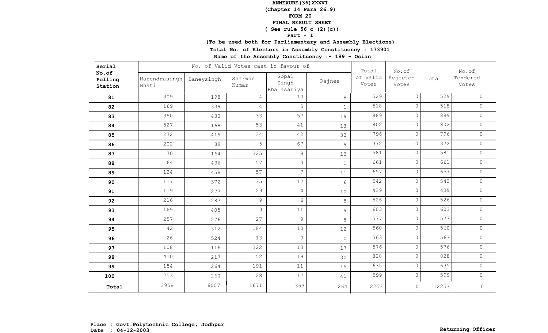**(Chapter 14 Para 26.9)**

**FORM 20**

#### **FINAL RESULT SHEET**

# **( See rule 56 c (2)(c))**

**Part - I**

**(To be used both for Parliamentary and Assembly Elections)**

**Total No. of Electors in Assembly Constituency : 173901**

| Serial                      |                        |            | No. of Valid Votes cast in favour of | Total                         | No.of          |                   | No.of             |       |                   |
|-----------------------------|------------------------|------------|--------------------------------------|-------------------------------|----------------|-------------------|-------------------|-------|-------------------|
| No.of<br>Polling<br>Station | Narendrasingh<br>Bhati | Baneysingh | Sharwan<br>Kumar                     | Gopal<br>Singh<br>Bhalasariya | Rajnee         | of Valid<br>Votes | Rejected<br>Votes | Total | Tendered<br>Votes |
| 81                          | 309                    | 198        | 4                                    | 10                            | 8              | 529               | $\circ$           | 529   | $\circ$           |
| 82                          | 169                    | 339        | 4                                    | 5                             | $\mathbf{1}$   | 518               | $\circ$           | 518   | $\circ$           |
| 83                          | 350                    | 430        | 33                                   | 57                            | 19             | 889               | $\circ$           | 889   | $\circ$           |
| 84                          | 527                    | 168        | 53                                   | 41                            | 13             | 802               | $\circ$           | 802   | $\circ$           |
| 85                          | 272                    | 415        | 34                                   | 42                            | 33             | 796               | $\circ$           | 796   | $\circ$           |
| 86                          | 202                    | 89         | 5                                    | 67                            | 9              | 372               | $\circ$           | 372   | $\circ$           |
| 87                          | 70                     | 164        | 325                                  | $\overline{9}$                | 13             | 581               | $\circ$           | 581   | $\circ$           |
| 88                          | 64                     | 436        | 157                                  | 3                             | $\mathbf{1}$   | 661               | $\circ$           | 661   | $\circ$           |
| 89                          | 124                    | 458        | 57                                   | $\overline{7}$                | 11             | 657               | $\circ$           | 657   | $\circ$           |
| 90                          | 117                    | 372        | 35                                   | 12                            | $6\phantom{a}$ | 542               | $\circ$           | 542   | $\circ$           |
| 91                          | 119                    | 277        | 29                                   | $\overline{4}$                | 10             | 439               | $\circ$           | 439   | $\circ$           |
| 92                          | 216                    | 287        | $\overline{9}$                       | 6                             | $8\,$          | 526               | $\circ$           | 526   | $\circ$           |
| 93                          | 169                    | 405        | $\overline{9}$                       | 11                            | $\overline{9}$ | 603               | $\circ$           | 603   | $\mathbb O$       |
| 94                          | 257                    | 276        | 27                                   | 9                             | 8              | 577               | $\circ$           | 577   | $\circ$           |
| 95                          | 42                     | 312        | 184                                  | 10                            | 12             | 560               | $\circ$           | 560   | $\circ$           |
| 96                          | 26                     | 524        | 13                                   | $\circ$                       | $\overline{0}$ | 563               | $\circ$           | 563   | $\circ$           |
| 97                          | 108                    | 116        | 322                                  | 13                            | 17             | 576               | $\circ$           | 576   | $\mathsf{O}$      |
| 98                          | 410                    | 217        | 152                                  | 19                            | 30             | 828               | $\circ$           | 828   | $\circ$           |
| 99                          | 154                    | 264        | 191                                  | 11                            | 15             | 635               | $\circ$           | 635   | $\circ$           |
| 100                         | 253                    | 260        | 28                                   | 17                            | 41             | 599               | $\circ$           | 599   | $\circ$           |
| Total                       | 3958                   | 6007       | 1671                                 | 353                           | 264            | 12253             | $\circ$           | 12253 | $\mathsf O$       |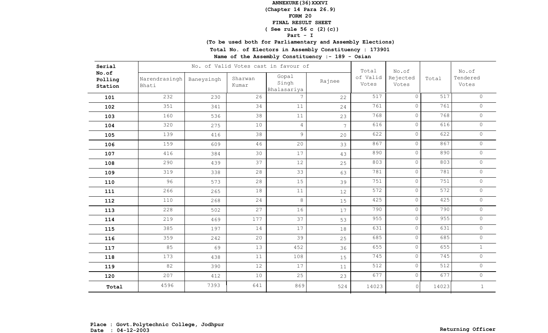**(Chapter 14 Para 26.9)**

**FORM 20**

#### **FINAL RESULT SHEET**

# **( See rule 56 c (2)(c))**

**Part - I**

**(To be used both for Parliamentary and Assembly Elections)**

**Total No. of Electors in Assembly Constituency : 173901**

| Serial                      |                        |            | No. of Valid Votes cast in favour of | Total                         | No.of          |                   | No.of             |       |                   |
|-----------------------------|------------------------|------------|--------------------------------------|-------------------------------|----------------|-------------------|-------------------|-------|-------------------|
| No.of<br>Polling<br>Station | Narendrasingh<br>Bhati | Baneysingh | Sharwan<br>Kumar                     | Gopal<br>Singh<br>Bhalasariya | Rajnee         | of Valid<br>Votes | Rejected<br>Votes | Total | Tendered<br>Votes |
| 101                         | 232                    | 230        | 26                                   |                               | 22             | 517               | $\circ$           | 517   | $\circ$           |
| 102                         | 351                    | 341        | 34                                   | 11                            | 24             | 761               | $\circ$           | 761   | $\circ$           |
| 103                         | 160                    | 536        | 38                                   | 11                            | 23             | 768               | $\overline{0}$    | 768   | $\mathsf{O}$      |
| 104                         | 320                    | 275        | 10                                   | $\sqrt{4}$                    | $\overline{7}$ | 616               | $\overline{0}$    | 616   | $\circ$           |
| 105                         | 139                    | 416        | 38                                   | 9                             | 20             | 622               | $\circ$           | 622   | $\mathsf{O}$      |
| 106                         | 159                    | 609        | 46                                   | 20                            | 33             | 867               | $\circ$           | 867   | $\circ$           |
| 107                         | 416                    | 384        | 30                                   | 17                            | 43             | 890               | $\circ$           | 890   | $\circ$           |
| 108                         | 290                    | 439        | 37                                   | 12                            | 25             | 803               | $\circ$           | 803   | $\circ$           |
| 109                         | 319                    | 338        | 28                                   | 33                            | 63             | 781               | $\circ$           | 781   | $\circ$           |
| 110                         | 96                     | 573        | 28                                   | 15                            | 39             | 751               | $\circ$           | 751   | $\circ$           |
| 111                         | 266                    | 265        | 18                                   | 11                            | 12             | 572               | $\circ$           | 572   | $\circ$           |
| 112                         | 110                    | 268        | 24                                   | 8                             | 15             | 425               | $\circ$           | 425   | $\circ$           |
| 113                         | 228                    | 502        | 27                                   | 16                            | 17             | 790               | $\circ$           | 790   | $\circ$           |
| 114                         | 219                    | 469        | 177                                  | 37                            | 53             | 955               | $\circ$           | 955   | $\circ$           |
| 115                         | 385                    | 197        | 14                                   | 17                            | 18             | 631               | $\circ$           | 631   | $\circ$           |
| 116                         | 359                    | 242        | 20                                   | 39                            | 25             | 685               | $\circ$           | 685   | $\circ$           |
| 117                         | 85                     | 69         | 13                                   | 452                           | 36             | 655               | $\circ$           | 655   | $\mathbf{1}$      |
| 118                         | 173                    | 438        | 11                                   | 108                           | 15             | 745               | $\circ$           | 745   | $\circ$           |
| 119                         | 82                     | 390        | 12                                   | 17                            | 11             | 512               | $\circ$           | 512   | $\circ$           |
| 120                         | 207                    | 412        | 10                                   | 25                            | 23             | 677               | $\circ$           | 677   | $\circ$           |
| Total                       | 4596                   | 7393       | 641                                  | 869                           | 524            | 14023             | $\circ$           | 14023 | $\mathbf{1}$      |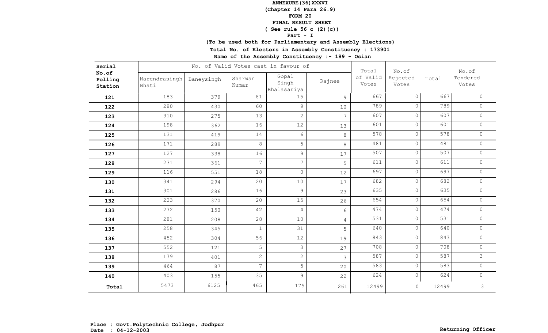**(Chapter 14 Para 26.9)**

**FORM 20**

 **FINAL RESULT SHEET**

 **( See rule 56 c (2)(c))**

**Part - I**

**(To be used both for Parliamentary and Assembly Elections)**

**Total No. of Electors in Assembly Constituency : 173901**

| Serial                      |                        |            | No. of Valid Votes cast in favour of |                               | Total          | No.of             |                   | No.of            |                   |
|-----------------------------|------------------------|------------|--------------------------------------|-------------------------------|----------------|-------------------|-------------------|------------------|-------------------|
| No.of<br>Polling<br>Station | Narendrasingh<br>Bhati | Baneysingh | Sharwan<br>Kumar                     | Gopal<br>Singh<br>Bhalasariya | Rajnee         | of Valid<br>Votes | Rejected<br>Votes | Total            | Tendered<br>Votes |
| 121                         | 183                    | 379        | 81                                   | 15                            | 9              | 667               | $\overline{0}$    | 667              | $\circ$           |
| 122                         | 280                    | 430        | 60                                   | 9                             | 10             | 789               | $\circ$           | 789              | $\circ$           |
| 123                         | 310                    | 275        | 13                                   | $\overline{2}$                | $\overline{7}$ | 607               | $\circ$           | 607              | $\circ$           |
| 124                         | 198                    | 362        | 16                                   | 12                            | 13             | 601               | $\circ$           | 601              | $\circ$           |
| 125                         | 131                    | 419        | 14                                   | 6                             | 8              | 578               | $\circ$           | 578              | $\circ$           |
| 126                         | 171                    | 289        | 8                                    | 5                             | 8              | 481               | $\circ$           | 481              | $\circ$           |
| 127                         | 127                    | 338        | 16                                   | 9                             | 17             | 507               | $\circ$           | 507              | $\circ$           |
| 128                         | 231                    | 361        | $\overline{7}$                       | $\overline{7}$                | 5              | 611               | $\circ$           | 611              | $\circ$           |
| 129                         | 116                    | 551        | 18                                   | $\circ$                       | 12             | 697               | $\circ$           | 697              | $\circ$           |
| 130                         | 341                    | 294        | 20                                   | 10                            | 17             | 682               | $\circ$           | 682              | $\circ$           |
| 131                         | 301                    | 286        | 16                                   | 9                             | 23             | 635               | $\circ$           | 635              | $\circ$           |
| 132                         | 223                    | 370        | 20                                   | 15                            | 26             | 654               | $\circ$           | 654              | $\circ$           |
| 133                         | 272                    | 150        | 42                                   | $\overline{4}$                | 6              | 474               | $\circ$           | 474              | $\circ$           |
| 134                         | 281                    | 208        | 28                                   | 10                            | 4              | 531               | $\circ$           | $\overline{531}$ | $\circ$           |
| 135                         | 258                    | 345        | $\mathbf{1}$                         | 31                            | 5              | 640               | $\circ$           | 640              | $\circ$           |
| 136                         | 452                    | 304        | 56                                   | 12                            | 19             | 843               | $\circ$           | 843              | $\circ$           |
| 137                         | 552                    | 121        | 5                                    | 3                             | 27             | 708               | $\circ$           | 708              | $\circ$           |
| 138                         | 179                    | 401        | $\overline{2}$                       | $\overline{c}$                | 3              | 587               | $\circ$           | 587              | $\overline{3}$    |
| 139                         | 464                    | 87         | $\overline{7}$                       | 5                             | 20             | 583               | $\circ$           | 583              | $\circ$           |
| 140                         | 403                    | 155        | 35                                   | 9                             | 22             | 624               | $\circ$           | 624              | $\circ$           |
| Total                       | 5473                   | 6125       | 465                                  | 175                           | 261            | 12499             | $\circ$           | 12499            | 3                 |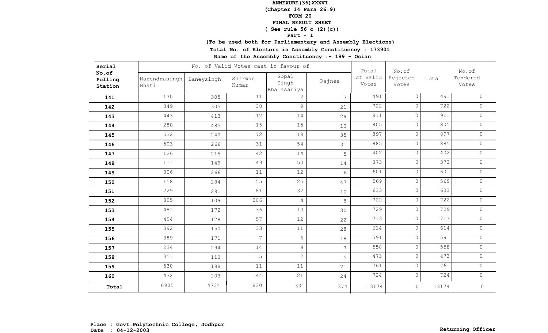**(Chapter 14 Para 26.9)**

**FORM 20**

 **FINAL RESULT SHEET**

 **( See rule 56 c (2)(c))**

**Part - I**

**(To be used both for Parliamentary and Assembly Elections)**

**Total No. of Electors in Assembly Constituency : 173901**

| Serial                      |                        |            | No. of Valid Votes cast in favour of |                               | Total          | No.of             |                   | No.of |                   |
|-----------------------------|------------------------|------------|--------------------------------------|-------------------------------|----------------|-------------------|-------------------|-------|-------------------|
| No.of<br>Polling<br>Station | Narendrasingh<br>Bhati | Baneysingh | Sharwan<br>Kumar                     | Gopal<br>Singh<br>Bhalasariya | Rajnee         | of Valid<br>Votes | Rejected<br>Votes | Total | Tendered<br>Votes |
| 141                         | 170                    | 305        | 11                                   | $\overline{2}$                | 3              | 491               | $\overline{0}$    | 491   | $\circ$           |
| 142                         | 349                    | 305        | 38                                   | 9                             | 21             | 722               | $\overline{0}$    | 722   | $\circ$           |
| 143                         | 443                    | 413        | 12                                   | 14                            | 29             | 911               | $\circ$           | 911   | $\circ$           |
| 144                         | 280                    | 485        | 15                                   | 15                            | 10             | 805               | $\circ$           | 805   | $\circ$           |
| 145                         | 532                    | 240        | 72                                   | 18                            | 35             | 897               | $\circ$           | 897   | $\circ$           |
| 146                         | 503                    | 266        | 31                                   | 54                            | 31             | 885               | $\circ$           | 885   | $\circ$           |
| 147                         | 126                    | 215        | 42                                   | 14                            | 5              | 402               | $\circ$           | 402   | $\circ$           |
| 148                         | 111                    | 149        | 49                                   | 50                            | 14             | 373               | $\circ$           | 373   | $\circledcirc$    |
| 149                         | 306                    | 266        | 11                                   | 12                            | 6              | 601               | $\circ$           | 601   | $\circ$           |
| 150                         | 158                    | 284        | 55                                   | 25                            | 47             | 569               | $\circ$           | 569   | $\circ$           |
| 151                         | 229                    | 281        | 81                                   | 32                            | 10             | 633               | $\circ$           | 633   | $\circ$           |
| 152                         | 395                    | 109        | 206                                  | $\overline{4}$                | 8              | 722               | $\circ$           | 722   | $\circ$           |
| 153                         | 481                    | 172        | 36                                   | 10                            | 30             | 729               | $\circ$           | 729   | $\circ$           |
| 154                         | 494                    | 128        | 57                                   | 12                            | 22             | 713               | $\circ$           | 713   | $\circ$           |
| 155                         | 392                    | 150        | 33                                   | $11$                          | 28             | 614               | $\circ$           | 614   | $\circ$           |
| 156                         | 389                    | 171        | $\overline{7}$                       | $6\phantom{.}6$               | 18             | 591               | $\circ$           | 591   | $\circ$           |
| 157                         | 234                    | 294        | 14                                   | 9                             | 7 <sup>1</sup> | 558               | $\circ$           | 558   | $\circ$           |
| 158                         | 351                    | 110        | 5                                    | $\overline{2}$                | 5              | 473               | $\circ$           | 473   | $\circ$           |
| 159                         | 530                    | 188        | 11                                   | 11                            | 21             | 761               | $\circ$           | 761   | $\circ$           |
| 160                         | 432                    | 203        | 44                                   | 21                            | 24             | 724               | $\circ$           | 724   | $\circ$           |
| Total                       | 6905                   | 4734       | 830                                  | 331                           | 374            | 13174             | $\circ$           | 13174 | $\mathbb O$       |